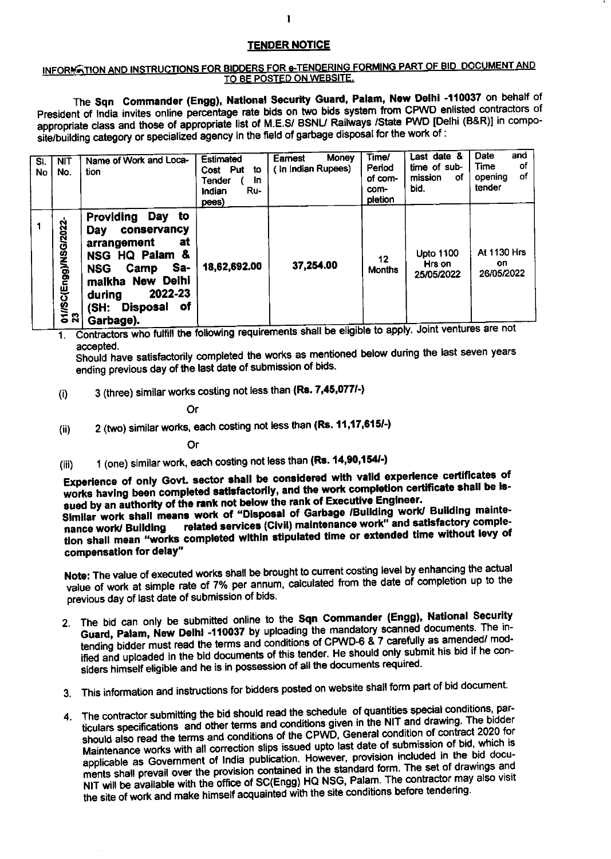## **TENDER NOTICE**

## INFORMATION AND INSTRUCTIONS FOR BIDDERS FOR e-TENDERING FORMING PART OF BID DOCUMENT AND TO BE POSTED ON WEBSITE.

The Sqn Commander (Engg), National Security Guard, Palam, New Delhi -110037 on behalf of President of India invites online percentage rate bids on two bids system from CPWD enlisted contractors of appropriate class and those of appropriate list of M.E.S/ BSNL/ Railways /State PWD [Delhi (B&R)] in composite/building category or specialized agency in the field of garbage disposal for the work of :

| SI.<br>No. | <b>NIT</b><br>No.           | Name of Work and Loca-<br>tion                                                                                                                                                                   | Estimated<br>Cost Put<br>to<br>In.<br>Tender<br>Ru-<br>Indian<br>pees) | <b>Money</b><br>Earnest<br>(In Indian Rupees) | Time/<br>Period<br>of com-<br>com-<br>pletion | Last date &<br>time of sub-<br>mission<br>οf<br>bid. | <b>Date</b><br>and<br>Time<br>οf<br>of<br>opening<br>tender |
|------------|-----------------------------|--------------------------------------------------------------------------------------------------------------------------------------------------------------------------------------------------|------------------------------------------------------------------------|-----------------------------------------------|-----------------------------------------------|------------------------------------------------------|-------------------------------------------------------------|
|            | 01//SC(Engg)/NSG/2022<br>23 | Providing<br>Day<br>to<br>conservancy<br>Day<br>at<br>arrangement<br>NSG HQ Palam &<br>Sa-<br>NSG<br>Camp<br>malkha New Delhi<br>2022-23<br>during<br>оf<br><b>Disposal</b><br>(SH:<br>Garbage). | 18,62,692.00                                                           | 37,254.00                                     | $12 \,$<br><b>Months</b>                      | <b>Upto 1100</b><br>Hrs on<br>25/05/2022<br>.        | <b>At 1130 Hrs</b><br>on.<br>26/05/2022                     |

1. Contractors who fulfill the following requirements shall be eligible to apply. Joint ventures are not accepted.

Should have satisfactorily completed the works as mentioned below during the last seven years ending previous day of the last date of submission of bids.

3 (three) similar works costing not less than (Rs. 7,45,077/-)  $(i)$ 

Or

2 (two) similar works, each costing not less than (Rs. 11,17,615/-)  $(ii)$ 

Or

1 (one) similar work, each costing not less than (Rs. 14,90,154/-)  $(iii)$ 

Experience of only Govt. sector shall be considered with valid experience certificates of works having been completed satisfactorily, and the work completion certificate shall be issued by an authority of the rank not below the rank of Executive Engineer.

Similar work shall means work of "Disposal of Garbage /Building work/ Building mainterelated services (Civil) maintenance work" and satisfactory complenance work/ Building tion shall mean "works completed within stipulated time or extended time without levy of compensation for delay"

Note: The value of executed works shall be brought to current costing level by enhancing the actual value of work at simple rate of 7% per annum, calculated from the date of completion up to the previous day of last date of submission of bids.

- 2. The bid can only be submitted online to the Sqn Commander (Engg), National Security Guard, Palam, New Delhi -110037 by uploading the mandatory scanned documents. The intending bidder must read the terms and conditions of CPWD-6 & 7 carefully as amended/ modified and uploaded in the bid documents of this tender. He should only submit his bid if he considers himself eligible and he is in possession of all the documents required.
- 3. This information and instructions for bidders posted on website shall form part of bid document.
- 4. The contractor submitting the bid should read the schedule of quantities special conditions, particulars specifications and other terms and conditions given in the NIT and drawing. The bidder should also read the terms and conditions of the CPWD, General condition of contract 2020 for Maintenance works with all correction slips issued upto last date of submission of bid, which is applicable as Government of India publication. However, provision included in the bid documents shall prevail over the provision contained in the standard form. The set of drawings and NIT will be available with the office of SC(Engg) HQ NSG, Palam. The contractor may also visit the site of work and make himself acquainted with the site conditions before tendering.